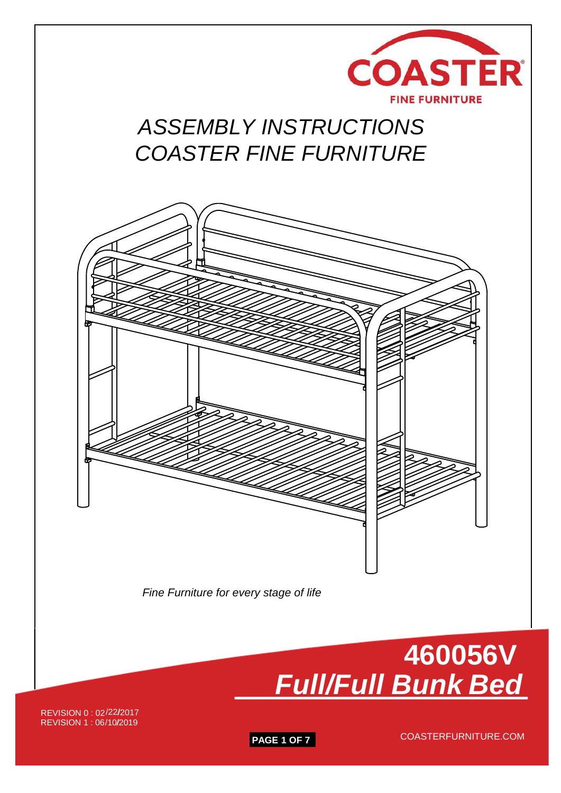

# *ASSEMBLY INSTRUCTIONS COASTER FINE FURNITURE*



*Fine Furniture for every stage of life*



REVISION 0 : 02 /22/2017REVISION 1:06/10/2019

**PAGE 1 OF 7**

COASTERFURNITURE.COM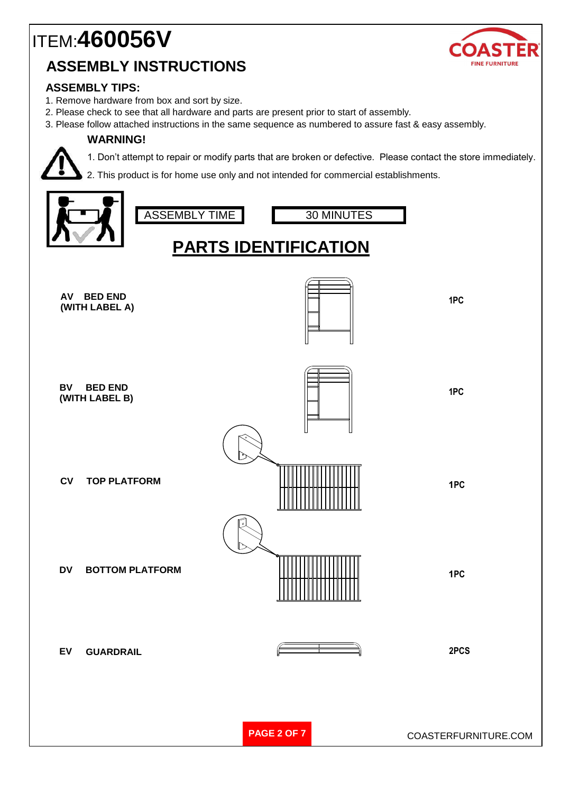## ITEM:**4600**5**6V ASSEMBLY INSTRUCTIONS**



### **ASSEMBLY TIPS:**

- 1. Remove hardware from box and sort by size.
- 2. Please check to see that all hardware and parts are present prior to start of assembly.
- 3. Please follow attached instructions in the same sequence as numbered to assure fast & easy assembly.

#### **WARNING!**



1. Don't attempt to repair or modify parts that are broken or defective. Please contact the store immediately.

2. This product is for home use only and not intended for commercial establishments.

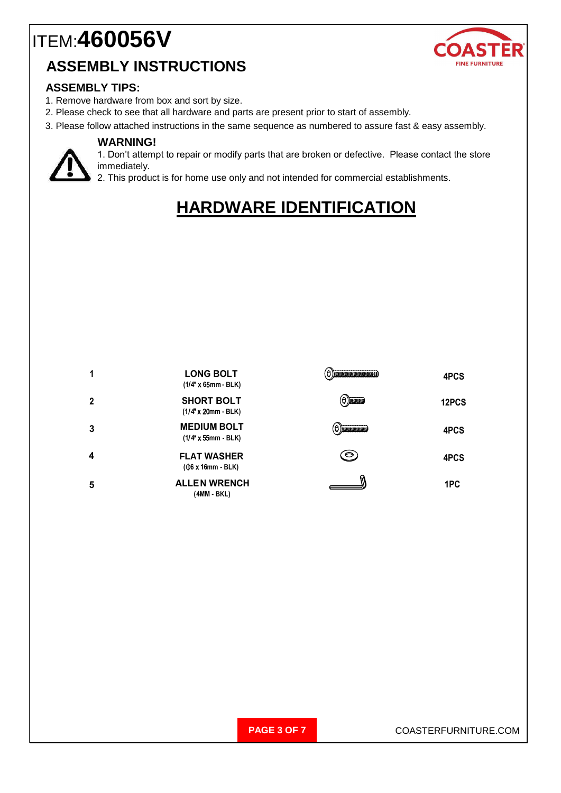# ITEM:**460056V**





#### **ASSEMBLY TIPS:**

- 1. Remove hardware from box and sort by size.
- 2. Please check to see that all hardware and parts are present prior to start of assembly.
- 3. Please follow attached instructions in the same sequence as numbered to assure fast & easy assembly.

#### **WARNING!**



1. Don't attempt to repair or modify parts that are broken or defective. Please contact the store immediately.

2. This product is for home use only and not intended for commercial establishments.

## **HARDWARE IDENTIFICATION**



**PAGE 3 OF 7** COASTERFURNITURE.COM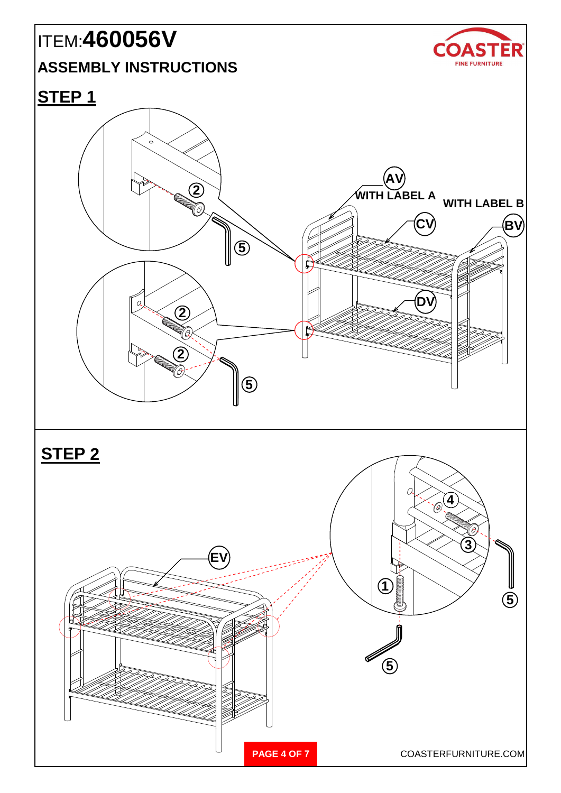# ITEM:**460056V**

### **ASSEMBLY INSTRUCTIONS**



## **STEP 1**

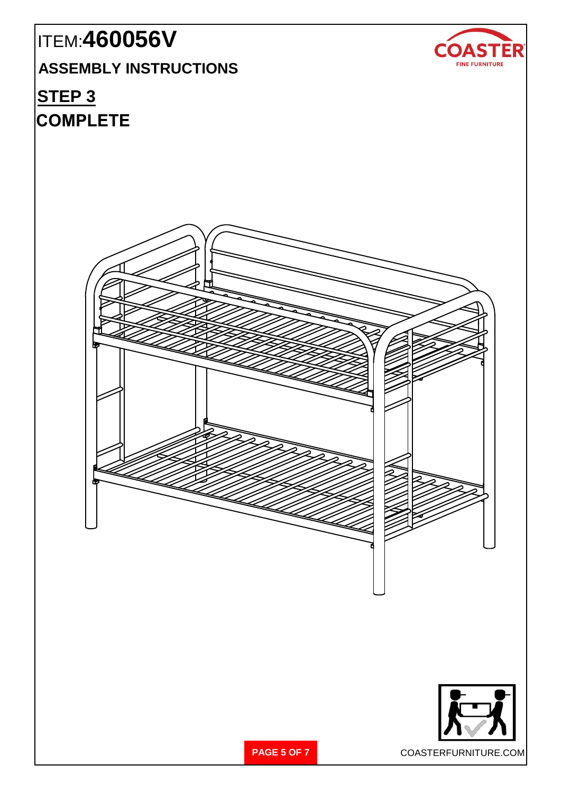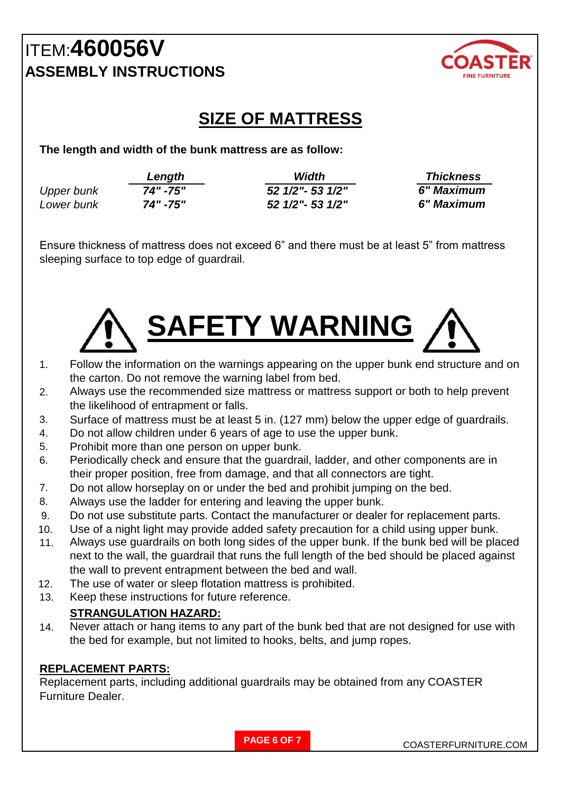## ITEM:**4600**5**6V ASSEMBLY INSTRUCTIONS**



## **SIZE OF MATTRESS**

**The length and width of the bunk mattress are as follow:**

|                   | Length   | Width             | <b>Thickness</b> |
|-------------------|----------|-------------------|------------------|
| <b>Upper bunk</b> | 74" -75" | 52 1/2" - 53 1/2" | 6" Maximum       |
| Lower bunk        | 74" -75" | 52 1/2" - 53 1/2" | 6" Maximum       |

Ensure thickness of mattress does not exceed 6" and there must be at least 5" from mattress sleeping surface to top edge of guardrail.



- 1. Follow the information on the warnings appearing on the upper bunk end structure and on the carton. Do not remove the warning label from bed.
- 2. Always use the recommended size mattress or mattress support or both to help prevent the likelihood of entrapment or falls.
- 3. Surface of mattress must be at least 5 in. (127 mm) below the upper edge of guardrails.
- 4. Do not allow children under 6 years of age to use the upper bunk.
- 5. Prohibit more than one person on upper bunk.
- 6. Periodically check and ensure that the guardrail, ladder, and other components are in their proper position, free from damage, and that all connectors are tight.
- 7. Do not allow horseplay on or under the bed and prohibit jumping on the bed.
- 8. Always use the ladder for entering and leaving the upper bunk.
- 9. Do not use substitute parts. Contact the manufacturer or dealer for replacement parts.
- 10. Use of a night light may provide added safety precaution for a child using upper bunk.
- 11. Always use guardrails on both long sides of the upper bunk. If the bunk bed will be placed next to the wall, the guardrail that runs the full length of the bed should be placed against the wall to prevent entrapment between the bed and wall.
- 12. The use of water or sleep flotation mattress is prohibited.
- 13. Keep these instructions for future reference.

### **STRANGULATION HAZARD:**

14. Never attach or hang items to any part of the bunk bed that are not designed for use with the bed for example, but not limited to hooks, belts, and jump ropes.

### **REPLACEMENT PARTS:**

Replacement parts, including additional guardrails may be obtained from any COASTER Furniture Dealer.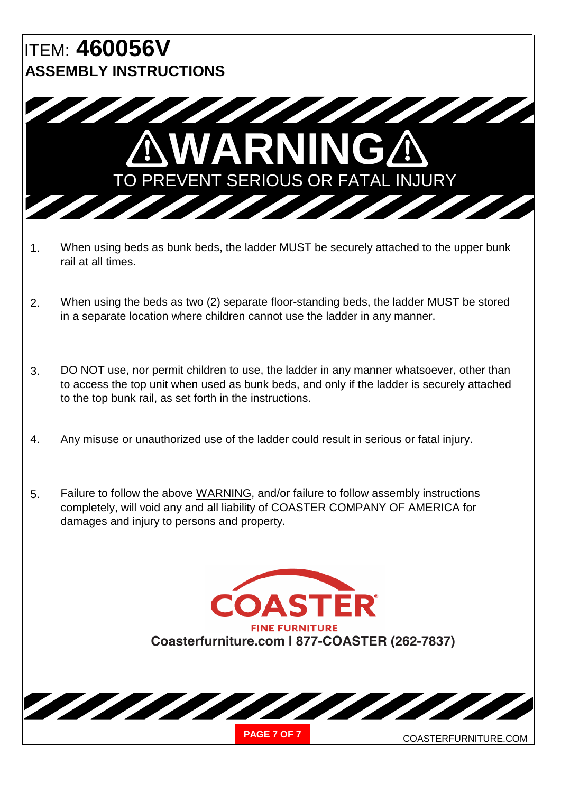## ITEM: **460056V ASSEMBLY INSTRUCTIONS**



- 1. When using beds as bunk beds, the ladder MUST be securely attached to the upper bunk rail at all times.
- 2. When using the beds as two (2) separate floor-standing beds, the ladder MUST be stored in a separate location where children cannot use the ladder in any manner.
- 3. DO NOT use, nor permit children to use, the ladder in any manner whatsoever, other than to access the top unit when used as bunk beds, and only if the ladder is securely attached to the top bunk rail, as set forth in the instructions.
- 4. Any misuse or unauthorized use of the ladder could result in serious or fatal injury.
- 5. Failure to follow the above WARNING, and/or failure to follow assembly instructions completely, will void any and all liability of COASTER COMPANY OF AMERICA for damages and injury to persons and property.

**Coasterfurniture.com | 877-COASTER (262-7837) COASTER**® **FINE FURNITURE**